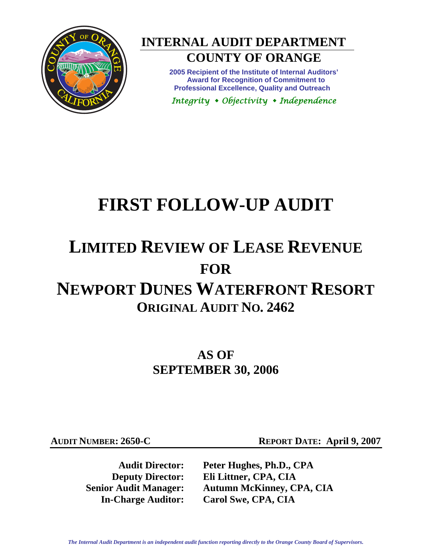

**INTERNAL AUDIT DEPARTMENT** 

# **COUNTY OF ORANGE**

**2005 Recipient of the Institute of Internal Auditors' Award for Recognition of Commitment to Professional Excellence, Quality and Outreach** 

*Integrity Objectivity Independence* 

# **FIRST FOLLOW-UP AUDIT**

# **LIMITED REVIEW OF LEASE REVENUE FOR NEWPORT DUNES WATERFRONT RESORT**

# **ORIGINAL AUDIT NO. 2462**

**AS OF SEPTEMBER 30, 2006** 

**AUDIT NUMBER: 2650-C REPORT DATE: April 9, 2007** 

 **Audit Director: Peter Hughes, Ph.D., CPA** 

**Deputy Director: Eli Littner, CPA, CIA Senior Audit Manager: Autumn McKinney, CPA, CIA In-Charge Auditor: Carol Swe, CPA, CIA**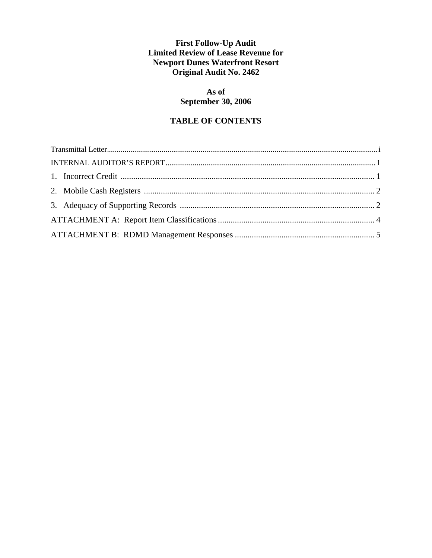## **First Follow-Up Audit Limited Review of Lease Revenue for Newport Dunes Waterfront Resort Original Audit No. 2462**

#### **As of September 30, 2006**

# **TABLE OF CONTENTS**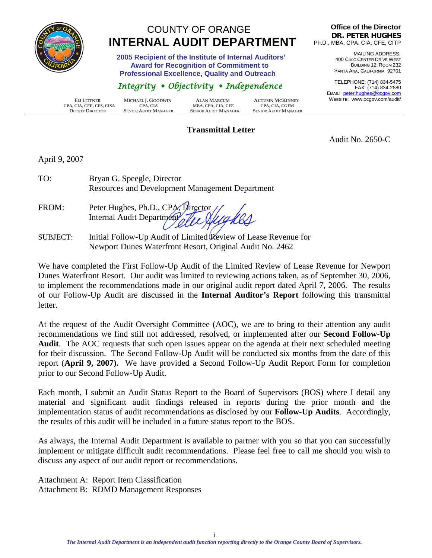<span id="page-2-0"></span>

# COUNTY OF ORANGE  **INTERNAL AUDIT DEPARTMENT**

 **2005 Recipient of the Institute of Internal Auditors' Award for Recognition of Commitment to Professional Excellence, Quality and Outreach** 

# *Integrity Objectivity Independence*

| ELI LITTNER              | MICHAEL J. GOODWIN          | <b>ALAN MARCUM</b>          | <b>AUTUMN MCKINNEY</b>      | WE |
|--------------------------|-----------------------------|-----------------------------|-----------------------------|----|
| CPA, CIA, CFE, CFS, CISA | CPA. CIA                    | MBA, CPA, CIA, CFE          | <b>CPA. CIA. CGFM</b>       |    |
| <b>DEPUTY DIRECTOR</b>   | <b>SENIOR AUDIT MANAGER</b> | <b>SENIOR AUDIT MANAGER</b> | <b>SENIOR AUDIT MANAGER</b> |    |

### **Transmittal Letter**

**Office of the Director DR. PETER HUGHES** Ph.D., MBA, CPA, CIA, CFE, CITP

> MAILING ADDRESS: 400 CIVIC CENTER DRIVE WEST BUILDING 12, ROOM 232 SANTA ANA, CALIFORNIA 92701

TELEPHONE: (714) 834-5475 FAX: (714) 834-2880 EMAIL: peter.hughes@ocgov.com EBSITE: www.ocgov.com/audit/

Audit No. 2650-C

April 9, 2007

| TO: | Bryan G. Speegle, Director                             |
|-----|--------------------------------------------------------|
|     | <b>Resources and Development Management Department</b> |
|     |                                                        |

FROM: Peter Hughes, Ph.D., CPA, Director Internal Audit Department

SUBJECT: Initial Follow-Up Audit of Limited Review of Lease Revenue for Newport Dunes Waterfront Resort, Original Audit No. 2462

We have completed the First Follow-Up Audit of the Limited Review of Lease Revenue for Newport Dunes Waterfront Resort. Our audit was limited to reviewing actions taken, as of September 30, 2006, to implement the recommendations made in our original audit report dated April 7, 2006. The results of our Follow-Up Audit are discussed in the **Internal Auditor's Report** following this transmittal letter.

At the request of the Audit Oversight Committee (AOC), we are to bring to their attention any audit recommendations we find still not addressed, resolved, or implemented after our **Second Follow-Up Audit**. The AOC requests that such open issues appear on the agenda at their next scheduled meeting for their discussion. The Second Follow-Up Audit will be conducted six months from the date of this report (**April 9, 2007).** We have provided a Second Follow-Up Audit Report Form for completion prior to our Second Follow-Up Audit.

Each month, I submit an Audit Status Report to the Board of Supervisors (BOS) where I detail any material and significant audit findings released in reports during the prior month and the implementation status of audit recommendations as disclosed by our **Follow-Up Audits**. Accordingly, the results of this audit will be included in a future status report to the BOS.

As always, the Internal Audit Department is available to partner with you so that you can successfully implement or mitigate difficult audit recommendations. Please feel free to call me should you wish to discuss any aspect of our audit report or recommendations.

Attachment A: Report Item Classification Attachment B: RDMD Management Responses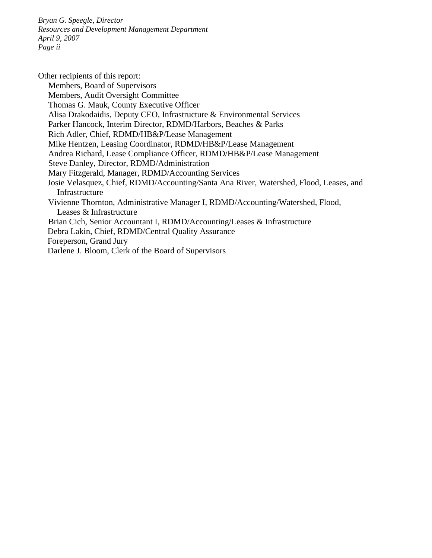*Bryan G. Speegle, Director Resources and Development Management Department April 9, 2007 Page ii* 

Other recipients of this report: Members, Board of Supervisors Members, Audit Oversight Committee Thomas G. Mauk, County Executive Officer Alisa Drakodaidis, Deputy CEO, Infrastructure & Environmental Services Parker Hancock, Interim Director, RDMD/Harbors, Beaches & Parks Rich Adler, Chief, RDMD/HB&P/Lease Management Mike Hentzen, Leasing Coordinator, RDMD/HB&P/Lease Management Andrea Richard, Lease Compliance Officer, RDMD/HB&P/Lease Management Steve Danley, Director, RDMD/Administration Mary Fitzgerald, Manager, RDMD/Accounting Services Josie Velasquez, Chief, RDMD/Accounting/Santa Ana River, Watershed, Flood, Leases, and Infrastructure Vivienne Thornton, Administrative Manager I, RDMD/Accounting/Watershed, Flood, Leases & Infrastructure Brian Cich, Senior Accountant I, RDMD/Accounting/Leases & Infrastructure Debra Lakin, Chief, RDMD/Central Quality Assurance Foreperson, Grand Jury Darlene J. Bloom, Clerk of the Board of Supervisors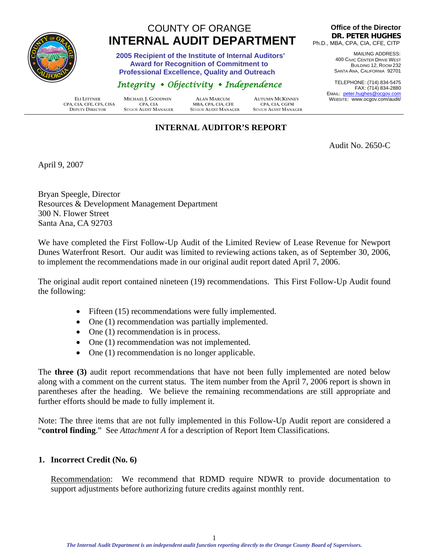<span id="page-4-0"></span>

# COUNTY OF ORANGE  **INTERNAL AUDIT DEPARTMENT**

 **2005 Recipient of the Institute of Internal Auditors' Award for Recognition of Commitment to Professional Excellence, Quality and Outreach** 

# *Integrity Objectivity Independence*

**CPA, CIA, CFE, CFS, CISA CPA, CIA CPA, CIA MBA, CPA, CIA, CFE CPA, CIA**, CGFM<br> **CPA, CIA CPA, CIA CPA, CIA CPA, CIA CPA, CIA CPA, CIA CER** 

**DEPUTY DIRECTOR S**ENIOR **AUDIT MANAGER S**ENIOR **AUDIT MANAGER S**ENIOR **AUDIT MANAGER**

**ELI LITTNER MICHAEL J. GOODWIN ALAN MARCUM AUTUMN MCKINNEY**

#### **Office of the Director DR. PETER HUGHES** Ph.D., MBA, CPA, CIA, CFE, CITP

MAILING ADDRESS: 400 CIVIC CENTER DRIVE WEST BUILDING 12, ROOM 232 SANTA ANA, CALIFORNIA 92701

TELEPHONE: (714) 834-5475 FAX: (714) 834-2880 EMAIL: peter.hughes@ocgov.com WEBSITE: www.ocgov.com/audit/

# **INTERNAL AUDITOR'S REPORT**

Audit No. 2650-C

April 9, 2007

Bryan Speegle, Director Resources & Development Management Department 300 N. Flower Street Santa Ana, CA 92703

We have completed the First Follow-Up Audit of the Limited Review of Lease Revenue for Newport Dunes Waterfront Resort. Our audit was limited to reviewing actions taken, as of September 30, 2006, to implement the recommendations made in our original audit report dated April 7, 2006.

The original audit report contained nineteen (19) recommendations. This First Follow-Up Audit found the following:

- Fifteen (15) recommendations were fully implemented.
- One (1) recommendation was partially implemented.
- One (1) recommendation is in process.
- One (1) recommendation was not implemented.
- One (1) recommendation is no longer applicable.

The **three (3)** audit report recommendations that have not been fully implemented are noted below along with a comment on the current status. The item number from the April 7, 2006 report is shown in parentheses after the heading. We believe the remaining recommendations are still appropriate and further efforts should be made to fully implement it.

Note: The three items that are not fully implemented in this Follow-Up Audit report are considered a "**control finding**."See *Attachment A* for a description of Report Item Classifications.

## **1. Incorrect Credit (No. 6)**

Recommendation: We recommend that RDMD require NDWR to provide documentation to support adjustments before authorizing future credits against monthly rent.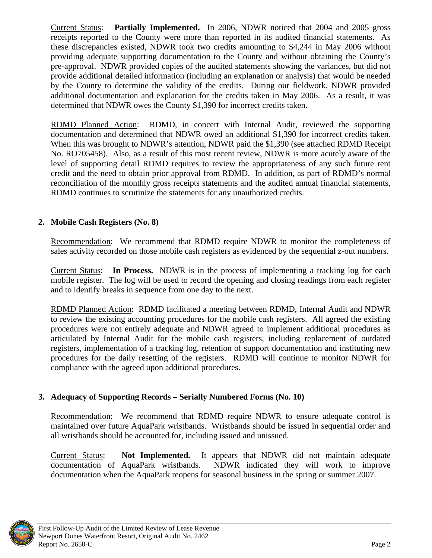<span id="page-5-0"></span>Current Status: **Partially Implemented.** In 2006, NDWR noticed that 2004 and 2005 gross receipts reported to the County were more than reported in its audited financial statements. As these discrepancies existed, NDWR took two credits amounting to \$4,244 in May 2006 without providing adequate supporting documentation to the County and without obtaining the County's pre-approval. NDWR provided copies of the audited statements showing the variances, but did not provide additional detailed information (including an explanation or analysis) that would be needed by the County to determine the validity of the credits. During our fieldwork, NDWR provided additional documentation and explanation for the credits taken in May 2006. As a result, it was determined that NDWR owes the County \$1,390 for incorrect credits taken.

RDMD Planned Action: RDMD, in concert with Internal Audit, reviewed the supporting documentation and determined that NDWR owed an additional \$1,390 for incorrect credits taken. When this was brought to NDWR's attention, NDWR paid the \$1,390 (see attached RDMD Receipt No. RO705458). Also, as a result of this most recent review, NDWR is more acutely aware of the level of supporting detail RDMD requires to review the appropriateness of any such future rent credit and the need to obtain prior approval from RDMD. In addition, as part of RDMD's normal reconciliation of the monthly gross receipts statements and the audited annual financial statements, RDMD continues to scrutinize the statements for any unauthorized credits.

## **2. Mobile Cash Registers (No. 8)**

Recommendation: We recommend that RDMD require NDWR to monitor the completeness of sales activity recorded on those mobile cash registers as evidenced by the sequential z-out numbers.

Current Status: **In Process.** NDWR is in the process of implementing a tracking log for each mobile register. The log will be used to record the opening and closing readings from each register and to identify breaks in sequence from one day to the next.

RDMD Planned Action: RDMD facilitated a meeting between RDMD, Internal Audit and NDWR to review the existing accounting procedures for the mobile cash registers. All agreed the existing procedures were not entirely adequate and NDWR agreed to implement additional procedures as articulated by Internal Audit for the mobile cash registers, including replacement of outdated registers, implementation of a tracking log, retention of support documentation and instituting new procedures for the daily resetting of the registers. RDMD will continue to monitor NDWR for compliance with the agreed upon additional procedures.

## **3. Adequacy of Supporting Records – Serially Numbered Forms (No. 10)**

Recommendation: We recommend that RDMD require NDWR to ensure adequate control is maintained over future AquaPark wristbands. Wristbands should be issued in sequential order and all wristbands should be accounted for, including issued and unissued.

Current Status: **Not Implemented.** It appears that NDWR did not maintain adequate documentation of AquaPark wristbands. NDWR indicated they will work to improve documentation when the AquaPark reopens for seasonal business in the spring or summer 2007.

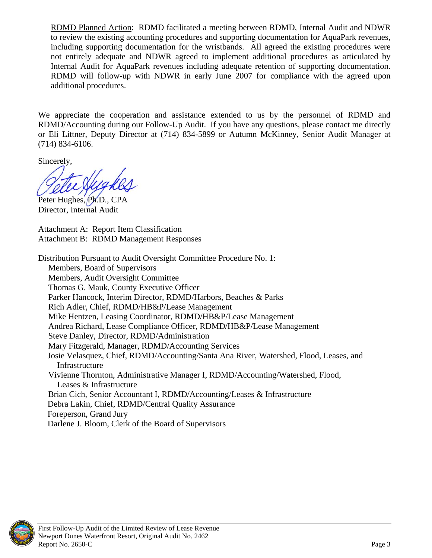RDMD Planned Action: RDMD facilitated a meeting between RDMD, Internal Audit and NDWR to review the existing accounting procedures and supporting documentation for AquaPark revenues, including supporting documentation for the wristbands. All agreed the existing procedures were not entirely adequate and NDWR agreed to implement additional procedures as articulated by Internal Audit for AquaPark revenues including adequate retention of supporting documentation. RDMD will follow-up with NDWR in early June 2007 for compliance with the agreed upon additional procedures.

We appreciate the cooperation and assistance extended to us by the personnel of RDMD and RDMD/Accounting during our Follow-Up Audit. If you have any questions, please contact me directly or Eli Littner, Deputy Director at (714) 834-5899 or Autumn McKinney, Senior Audit Manager at (714) 834-6106.

Sincerely,

Peter Hughes, Ph.D., CPA Director, Internal Audit

Attachment A: Report Item Classification Attachment B: RDMD Management Responses

Distribution Pursuant to Audit Oversight Committee Procedure No. 1: Members, Board of Supervisors Members, Audit Oversight Committee Thomas G. Mauk, County Executive Officer Parker Hancock, Interim Director, RDMD/Harbors, Beaches & Parks Rich Adler, Chief, RDMD/HB&P/Lease Management Mike Hentzen, Leasing Coordinator, RDMD/HB&P/Lease Management Andrea Richard, Lease Compliance Officer, RDMD/HB&P/Lease Management Steve Danley, Director, RDMD/Administration Mary Fitzgerald, Manager, RDMD/Accounting Services Josie Velasquez, Chief, RDMD/Accounting/Santa Ana River, Watershed, Flood, Leases, and Infrastructure Vivienne Thornton, Administrative Manager I, RDMD/Accounting/Watershed, Flood, Leases & Infrastructure Brian Cich, Senior Accountant I, RDMD/Accounting/Leases & Infrastructure Debra Lakin, Chief, RDMD/Central Quality Assurance Foreperson, Grand Jury Darlene J. Bloom, Clerk of the Board of Supervisors

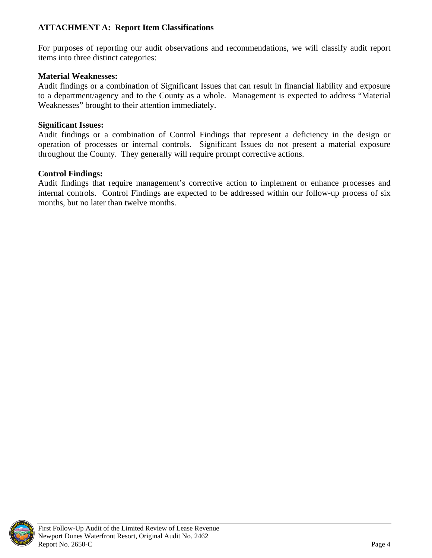<span id="page-7-0"></span>For purposes of reporting our audit observations and recommendations, we will classify audit report items into three distinct categories:

### **Material Weaknesses:**

Audit findings or a combination of Significant Issues that can result in financial liability and exposure to a department/agency and to the County as a whole. Management is expected to address "Material Weaknesses" brought to their attention immediately.

#### **Significant Issues:**

Audit findings or a combination of Control Findings that represent a deficiency in the design or operation of processes or internal controls. Significant Issues do not present a material exposure throughout the County. They generally will require prompt corrective actions.

### **Control Findings:**

Audit findings that require management's corrective action to implement or enhance processes and internal controls. Control Findings are expected to be addressed within our follow-up process of six months, but no later than twelve months.

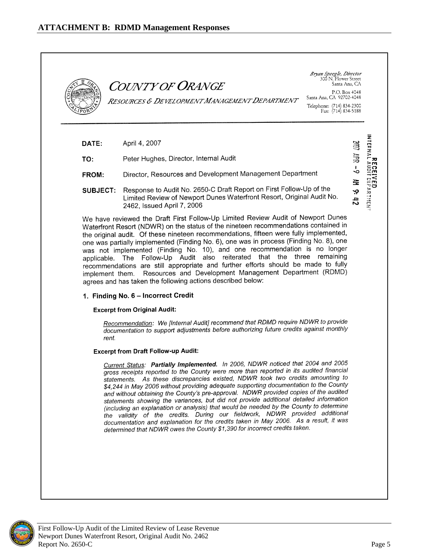<span id="page-8-0"></span>

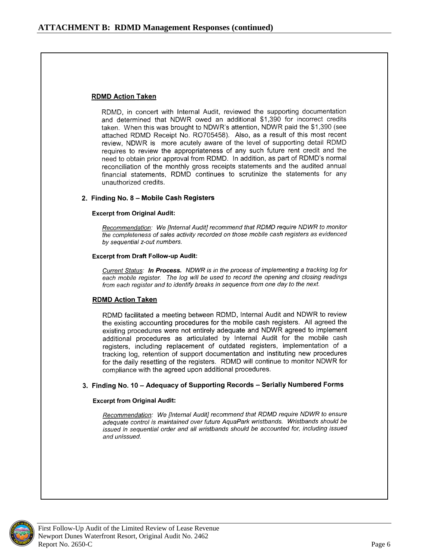#### **RDMD Action Taken**

RDMD, in concert with Internal Audit, reviewed the supporting documentation and determined that NDWR owed an additional \$1,390 for incorrect credits taken. When this was brought to NDWR's attention, NDWR paid the \$1,390 (see attached RDMD Receipt No. RO705458). Also, as a result of this most recent review, NDWR is more acutely aware of the level of supporting detail RDMD requires to review the appropriateness of any such future rent credit and the need to obtain prior approval from RDMD. In addition, as part of RDMD's normal reconciliation of the monthly gross receipts statements and the audited annual financial statements, RDMD continues to scrutinize the statements for any unauthorized credits.

#### 2. Finding No. 8 - Mobile Cash Registers

#### **Excerpt from Original Audit:**

Recommendation: We [Internal Audit] recommend that RDMD require NDWR to monitor the completeness of sales activity recorded on those mobile cash registers as evidenced by sequential z-out numbers.

#### **Excerpt from Draft Follow-up Audit:**

Current Status: In Process. NDWR is in the process of implementing a tracking log for each mobile register. The log will be used to record the opening and closing readings from each register and to identify breaks in sequence from one day to the next.

#### **RDMD Action Taken**

RDMD facilitated a meeting between RDMD, Internal Audit and NDWR to review the existing accounting procedures for the mobile cash registers. All agreed the existing procedures were not entirely adequate and NDWR agreed to implement additional procedures as articulated by Internal Audit for the mobile cash registers, including replacement of outdated registers, implementation of a tracking log, retention of support documentation and instituting new procedures for the daily resetting of the registers. RDMD will continue to monitor NDWR for compliance with the agreed upon additional procedures.

#### 3. Finding No. 10 - Adequacy of Supporting Records - Serially Numbered Forms

#### **Excerpt from Original Audit:**

Recommendation: We [Internal Audit] recommend that RDMD require NDWR to ensure adequate control is maintained over future AquaPark wristbands. Wristbands should be issued in sequential order and all wristbands should be accounted for, including issued and unissued.

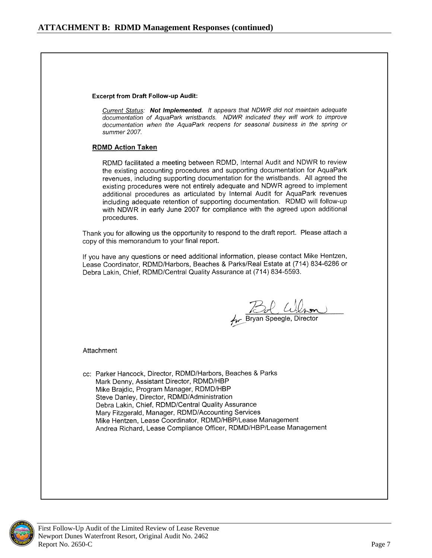#### **Excerpt from Draft Follow-up Audit:**

Current Status: Not Implemented. It appears that NDWR did not maintain adequate documentation of AquaPark wristbands. NDWR indicated they will work to improve documentation when the AquaPark reopens for seasonal business in the spring or summer 2007.

#### **RDMD Action Taken**

RDMD facilitated a meeting between RDMD, Internal Audit and NDWR to review the existing accounting procedures and supporting documentation for AquaPark revenues, including supporting documentation for the wristbands. All agreed the existing procedures were not entirely adequate and NDWR agreed to implement additional procedures as articulated by Internal Audit for AquaPark revenues including adequate retention of supporting documentation. RDMD will follow-up with NDWR in early June 2007 for compliance with the agreed upon additional procedures.

Thank you for allowing us the opportunity to respond to the draft report. Please attach a copy of this memorandum to your final report.

If you have any questions or need additional information, please contact Mike Hentzen, Lease Coordinator, RDMD/Harbors, Beaches & Parks/Real Estate at (714) 834-6286 or Debra Lakin, Chief, RDMD/Central Quality Assurance at (714) 834-5593.

Bol Whom

Attachment

cc: Parker Hancock, Director, RDMD/Harbors, Beaches & Parks Mark Denny, Assistant Director, RDMD/HBP Mike Brajdic, Program Manager, RDMD/HBP Steve Danley, Director, RDMD/Administration Debra Lakin, Chief, RDMD/Central Quality Assurance Mary Fitzgerald, Manager, RDMD/Accounting Services Mike Hentzen. Lease Coordinator, RDMD/HBP/Lease Management Andrea Richard, Lease Compliance Officer, RDMD/HBP/Lease Management

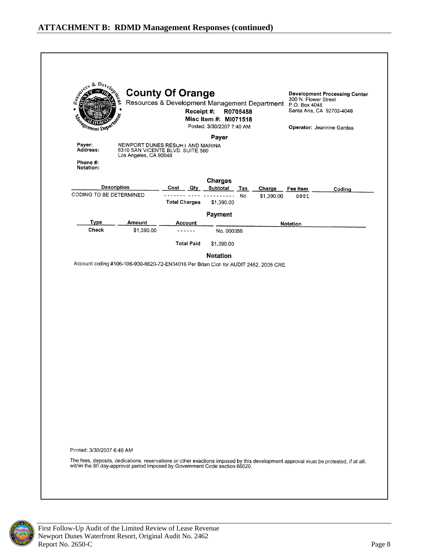